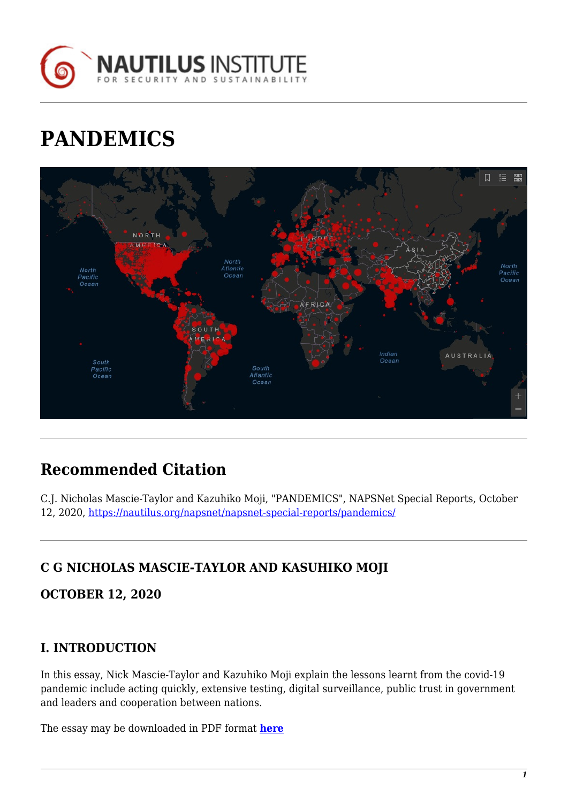

# **PANDEMICS**



## **Recommended Citation**

C.J. Nicholas Mascie-Taylor and Kazuhiko Moji, "PANDEMICS", NAPSNet Special Reports, October 12, 2020, <https://nautilus.org/napsnet/napsnet-special-reports/pandemics/>

## **C G NICHOLAS MASCIE-TAYLOR AND KASUHIKO MOJI**

**OCTOBER 12, 2020**

## **I. INTRODUCTION**

In this essay, Nick Mascie-Taylor and Kazuhiko Moji explain the lessons learnt from the covid-19 pandemic include acting quickly, extensive testing, digital surveillance, public trust in government and leaders and cooperation between nations.

The essay may be downloaded in PDF format **[here](https://nautilus.org/wp-content/uploads/2020/10/Taylor_Moji-Nagasaki_WP_20201012.pdf)**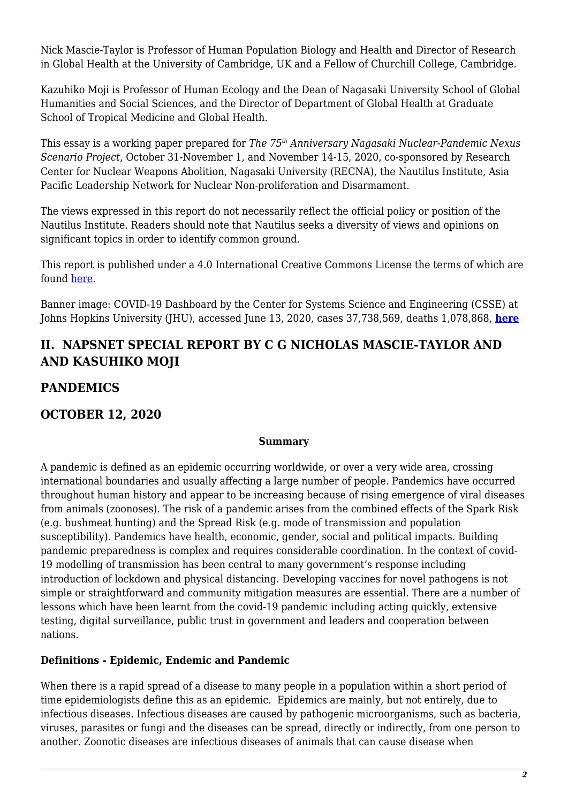Nick Mascie-Taylor is Professor of Human Population Biology and Health and Director of Research in Global Health at the University of Cambridge, UK and a Fellow of Churchill College, Cambridge.

Kazuhiko Moji is Professor of Human Ecology and the Dean of Nagasaki University School of Global Humanities and Social Sciences, and the Director of Department of Global Health at Graduate School of Tropical Medicine and Global Health.

This essay is a working paper prepared for *The 75th Anniversary Nagasaki Nuclear-Pandemic Nexus Scenario Project*, October 31-November 1, and November 14-15, 2020, co-sponsored by Research Center for Nuclear Weapons Abolition, Nagasaki University (RECNA), the Nautilus Institute, Asia Pacific Leadership Network for Nuclear Non-proliferation and Disarmament.

The views expressed in this report do not necessarily reflect the official policy or position of the Nautilus Institute. Readers should note that Nautilus seeks a diversity of views and opinions on significant topics in order to identify common ground.

This report is published under a 4.0 International Creative Commons License the terms of which are found [here](https://creativecommons.org/licenses/by-nc-sa/4.0/).

Banner image: COVID-19 Dashboard by the Center for Systems Science and Engineering (CSSE) at Johns Hopkins University (JHU), accessed June 13, 2020, cases 37,738,569, deaths 1,078,868, **[here](https://coronavirus.jhu.edu/map.html)**

## **II. NAPSNET SPECIAL REPORT BY C G NICHOLAS MASCIE-TAYLOR AND AND KASUHIKO MOJI**

## **PANDEMICS**

#### **OCTOBER 12, 2020**

#### **Summary**

A pandemic is defined as an epidemic occurring worldwide, or over a very wide area, crossing international boundaries and usually affecting a large number of people. Pandemics have occurred throughout human history and appear to be increasing because of rising emergence of viral diseases from animals (zoonoses). The risk of a pandemic arises from the combined effects of the Spark Risk (e.g. bushmeat hunting) and the Spread Risk (e.g. mode of transmission and population susceptibility). Pandemics have health, economic, gender, social and political impacts. Building pandemic preparedness is complex and requires considerable coordination. In the context of covid-19 modelling of transmission has been central to many government's response including introduction of lockdown and physical distancing. Developing vaccines for novel pathogens is not simple or straightforward and community mitigation measures are essential. There are a number of lessons which have been learnt from the covid-19 pandemic including acting quickly, extensive testing, digital surveillance, public trust in government and leaders and cooperation between nations.

#### **Definitions - Epidemic, Endemic and Pandemic**

When there is a rapid spread of a disease to many people in a population within a short period of time epidemiologists define this as an epidemic. Epidemics are mainly, but not entirely, due to infectious diseases. Infectious diseases are caused by pathogenic microorganisms, such as bacteria, viruses, parasites or fungi and the diseases can be spread, directly or indirectly, from one person to another. Zoonotic diseases are infectious diseases of animals that can cause disease when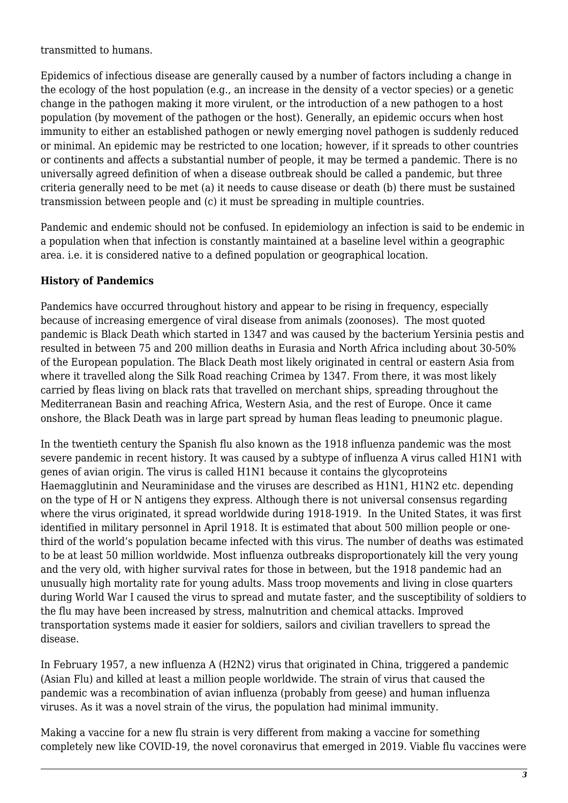transmitted to humans.

Epidemics of infectious disease are generally caused by a number of factors including a change in the ecology of the host population (e.g., an increase in the density of a vector species) or a genetic change in the pathogen making it more virulent, or the introduction of a new pathogen to a host population (by movement of the pathogen or the host). Generally, an epidemic occurs when host immunity to either an established pathogen or newly emerging novel pathogen is suddenly reduced or minimal. An epidemic may be restricted to one location; however, if it spreads to other countries or continents and affects a substantial number of people, it may be termed a pandemic. There is no universally agreed definition of when a disease outbreak should be called a pandemic, but three criteria generally need to be met (a) it needs to cause disease or death (b) there must be sustained transmission between people and (c) it must be spreading in multiple countries.

Pandemic and endemic should not be confused. In epidemiology an infection is said to be endemic in a population when that infection is constantly maintained at a baseline level within a geographic area. i.e. it is considered native to a defined population or geographical location.

#### **History of Pandemics**

Pandemics have occurred throughout history and appear to be rising in frequency, especially because of increasing emergence of viral disease from animals (zoonoses). The most quoted pandemic is Black Death which started in 1347 and was caused by the bacterium Yersinia pestis and resulted in between 75 and 200 million deaths in Eurasia and North Africa including about 30-50% of the European population. The Black Death most likely originated in central or eastern Asia from where it travelled along the Silk Road reaching Crimea by 1347. From there, it was most likely carried by fleas living on black rats that travelled on merchant ships, spreading throughout the Mediterranean Basin and reaching Africa, Western Asia, and the rest of Europe. Once it came onshore, the Black Death was in large part spread by human fleas leading to pneumonic plague.

In the twentieth century the Spanish flu also known as the 1918 influenza pandemic was the most severe pandemic in recent history. It was caused by a subtype of influenza A virus called H1N1 with genes of avian origin. The virus is called H1N1 because it contains the glycoproteins Haemagglutinin and Neuraminidase and the viruses are described as H1N1, H1N2 etc. depending on the type of H or N antigens they express. Although there is not universal consensus regarding where the virus originated, it spread worldwide during 1918-1919. In the United States, it was first identified in military personnel in April 1918. It is estimated that about 500 million people or onethird of the world's population became infected with this virus. The number of deaths was estimated to be at least 50 million worldwide. Most influenza outbreaks disproportionately kill the very young and the very old, with higher survival rates for those in between, but the 1918 pandemic had an unusually high mortality rate for young adults. Mass troop movements and living in close quarters during World War I caused the virus to spread and mutate faster, and the susceptibility of soldiers to the flu may have been increased by stress, malnutrition and chemical attacks. Improved transportation systems made it easier for soldiers, sailors and civilian travellers to spread the disease.

In February 1957, a new influenza A (H2N2) virus that originated in China, triggered a pandemic (Asian Flu) and killed at least a million people worldwide. The strain of virus that caused the pandemic was a recombination of avian influenza (probably from geese) and human influenza viruses. As it was a novel strain of the virus, the population had minimal immunity.

Making a vaccine for a new flu strain is very different from making a vaccine for something completely new like COVID-19, the novel coronavirus that emerged in 2019. Viable flu vaccines were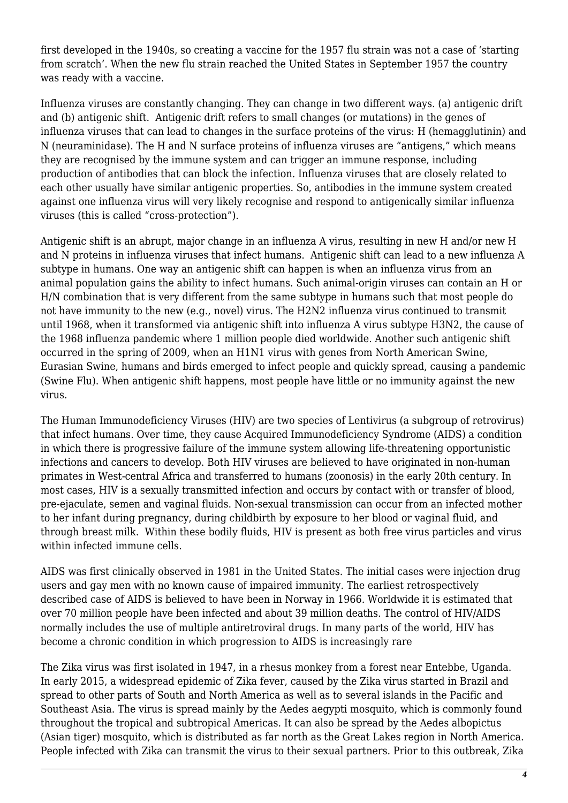first developed in the 1940s, so creating a vaccine for the 1957 flu strain was not a case of 'starting from scratch'. When the new flu strain reached the United States in September 1957 the country was ready with a vaccine.

Influenza viruses are constantly changing. They can change in two different ways. (a) antigenic drift and (b) antigenic shift. Antigenic drift refers to small changes (or mutations) in the genes of influenza viruses that can lead to changes in the surface proteins of the virus: H (hemagglutinin) and N (neuraminidase). The H and N surface proteins of influenza viruses are "antigens," which means they are recognised by the immune system and can trigger an immune response, including production of antibodies that can block the infection. Influenza viruses that are closely related to each other usually have similar antigenic properties. So, antibodies in the immune system created against one influenza virus will very likely recognise and respond to antigenically similar influenza viruses (this is called "cross-protection").

Antigenic shift is an abrupt, major change in an influenza A virus, resulting in new H and/or new H and N proteins in influenza viruses that infect humans. Antigenic shift can lead to a new influenza A subtype in humans. One way an antigenic shift can happen is when an influenza virus from an animal population gains the ability to infect humans. Such animal-origin viruses can contain an H or H/N combination that is very different from the same subtype in humans such that most people do not have immunity to the new (e.g., novel) virus. The H2N2 influenza virus continued to transmit until 1968, when it transformed via antigenic shift into influenza A virus subtype H3N2, the cause of the 1968 influenza pandemic where 1 million people died worldwide. Another such antigenic shift occurred in the spring of 2009, when an H1N1 virus with genes from North American Swine, Eurasian Swine, humans and birds emerged to infect people and quickly spread, causing a pandemic (Swine Flu). When antigenic shift happens, most people have little or no immunity against the new virus.

The Human Immunodeficiency Viruses (HIV) are two species of Lentivirus (a subgroup of retrovirus) that infect humans. Over time, they cause Acquired Immunodeficiency Syndrome (AIDS) a condition in which there is progressive failure of the immune system allowing life-threatening opportunistic infections and cancers to develop. Both HIV viruses are believed to have originated in non-human primates in West-central Africa and transferred to humans (zoonosis) in the early 20th century. In most cases, HIV is a sexually transmitted infection and occurs by contact with or transfer of blood, pre-ejaculate, semen and vaginal fluids. Non-sexual transmission can occur from an infected mother to her infant during pregnancy, during childbirth by exposure to her blood or vaginal fluid, and through breast milk. Within these bodily fluids, HIV is present as both free virus particles and virus within infected immune cells.

AIDS was first clinically observed in 1981 in the United States. The initial cases were injection drug users and gay men with no known cause of impaired immunity. The earliest retrospectively described case of AIDS is believed to have been in Norway in 1966. Worldwide it is estimated that over 70 million people have been infected and about 39 million deaths. The control of HIV/AIDS normally includes the use of multiple antiretroviral drugs. In many parts of the world, HIV has become a chronic condition in which progression to AIDS is increasingly rare

The Zika virus was first isolated in 1947, in a rhesus monkey from a forest near Entebbe, Uganda. In early 2015, a widespread epidemic of Zika fever, caused by the Zika virus started in Brazil and spread to other parts of South and North America as well as to several islands in the Pacific and Southeast Asia. The virus is spread mainly by the Aedes aegypti mosquito, which is commonly found throughout the tropical and subtropical Americas. It can also be spread by the Aedes albopictus (Asian tiger) mosquito, which is distributed as far north as the Great Lakes region in North America. People infected with Zika can transmit the virus to their sexual partners. Prior to this outbreak, Zika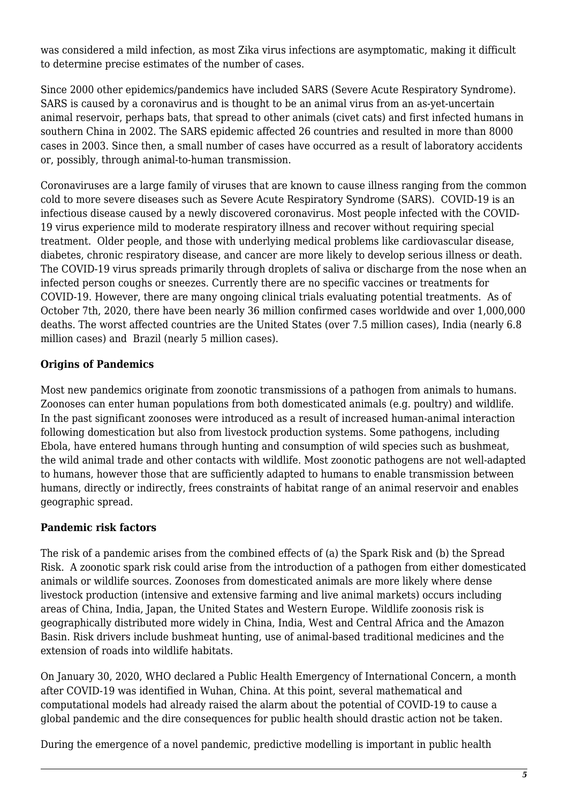was considered a mild infection, as most Zika virus infections are asymptomatic, making it difficult to determine precise estimates of the number of cases.

Since 2000 other epidemics/pandemics have included SARS (Severe Acute Respiratory Syndrome). SARS is caused by a coronavirus and is thought to be an animal virus from an as-yet-uncertain animal reservoir, perhaps bats, that spread to other animals (civet cats) and first infected humans in southern China in 2002. The SARS epidemic affected 26 countries and resulted in more than 8000 cases in 2003. Since then, a small number of cases have occurred as a result of laboratory accidents or, possibly, through animal-to-human transmission.

Coronaviruses are a large family of viruses that are known to cause illness ranging from the common cold to more severe diseases such as Severe Acute Respiratory Syndrome (SARS). COVID-19 is an infectious disease caused by a newly discovered coronavirus. Most people infected with the COVID-19 virus experience mild to moderate respiratory illness and recover without requiring special treatment. Older people, and those with underlying medical problems like cardiovascular disease, diabetes, chronic respiratory disease, and cancer are more likely to develop serious illness or death. The COVID-19 virus spreads primarily through droplets of saliva or discharge from the nose when an infected person coughs or sneezes. Currently there are no specific vaccines or treatments for COVID-19. However, there are many ongoing clinical trials evaluating potential treatments. As of October 7th, 2020, there have been nearly 36 million confirmed cases worldwide and over 1,000,000 deaths. The worst affected countries are the United States (over 7.5 million cases), India (nearly 6.8 million cases) and Brazil (nearly 5 million cases).

#### **Origins of Pandemics**

Most new pandemics originate from zoonotic transmissions of a pathogen from animals to humans. Zoonoses can enter human populations from both domesticated animals (e.g. poultry) and wildlife. In the past significant zoonoses were introduced as a result of increased human-animal interaction following domestication but also from livestock production systems. Some pathogens, including Ebola, have entered humans through hunting and consumption of wild species such as bushmeat, the wild animal trade and other contacts with wildlife. Most zoonotic pathogens are not well-adapted to humans, however those that are sufficiently adapted to humans to enable transmission between humans, directly or indirectly, frees constraints of habitat range of an animal reservoir and enables geographic spread.

#### **Pandemic risk factors**

The risk of a pandemic arises from the combined effects of (a) the Spark Risk and (b) the Spread Risk. A zoonotic spark risk could arise from the introduction of a pathogen from either domesticated animals or wildlife sources. Zoonoses from domesticated animals are more likely where dense livestock production (intensive and extensive farming and live animal markets) occurs including areas of China, India, Japan, the United States and Western Europe. Wildlife zoonosis risk is geographically distributed more widely in China, India, West and Central Africa and the Amazon Basin. Risk drivers include bushmeat hunting, use of animal-based traditional medicines and the extension of roads into wildlife habitats.

On January 30, 2020, WHO declared a Public Health Emergency of International Concern, a month after COVID-19 was identified in Wuhan, China. At this point, several mathematical and computational models had already raised the alarm about the potential of COVID-19 to cause a global pandemic and the dire consequences for public health should drastic action not be taken.

During the emergence of a novel pandemic, predictive modelling is important in public health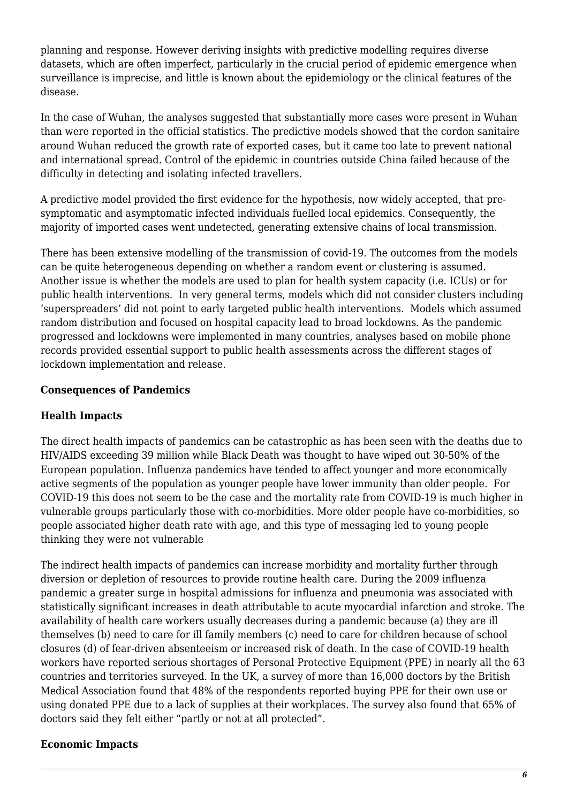planning and response. However deriving insights with predictive modelling requires diverse datasets, which are often imperfect, particularly in the crucial period of epidemic emergence when surveillance is imprecise, and little is known about the epidemiology or the clinical features of the disease.

In the case of Wuhan, the analyses suggested that substantially more cases were present in Wuhan than were reported in the official statistics. The predictive models showed that the cordon sanitaire around Wuhan reduced the growth rate of exported cases, but it came too late to prevent national and international spread. Control of the epidemic in countries outside China failed because of the difficulty in detecting and isolating infected travellers.

A predictive model provided the first evidence for the hypothesis, now widely accepted, that presymptomatic and asymptomatic infected individuals fuelled local epidemics. Consequently, the majority of imported cases went undetected, generating extensive chains of local transmission.

There has been extensive modelling of the transmission of covid-19. The outcomes from the models can be quite heterogeneous depending on whether a random event or clustering is assumed. Another issue is whether the models are used to plan for health system capacity (i.e. ICUs) or for public health interventions. In very general terms, models which did not consider clusters including 'superspreaders' did not point to early targeted public health interventions. Models which assumed random distribution and focused on hospital capacity lead to broad lockdowns. As the pandemic progressed and lockdowns were implemented in many countries, analyses based on mobile phone records provided essential support to public health assessments across the different stages of lockdown implementation and release.

#### **Consequences of Pandemics**

#### **Health Impacts**

The direct health impacts of pandemics can be catastrophic as has been seen with the deaths due to HIV/AIDS exceeding 39 million while Black Death was thought to have wiped out 30-50% of the European population. Influenza pandemics have tended to affect younger and more economically active segments of the population as younger people have lower immunity than older people. For COVID-19 this does not seem to be the case and the mortality rate from COVID-19 is much higher in vulnerable groups particularly those with co-morbidities. More older people have co-morbidities, so people associated higher death rate with age, and this type of messaging led to young people thinking they were not vulnerable

The indirect health impacts of pandemics can increase morbidity and mortality further through diversion or depletion of resources to provide routine health care. During the 2009 influenza pandemic a greater surge in hospital admissions for influenza and pneumonia was associated with statistically significant increases in death attributable to acute myocardial infarction and stroke. The availability of health care workers usually decreases during a pandemic because (a) they are ill themselves (b) need to care for ill family members (c) need to care for children because of school closures (d) of fear-driven absenteeism or increased risk of death. In the case of COVID-19 health workers have reported serious shortages of Personal Protective Equipment (PPE) in nearly all the 63 countries and territories surveyed. In the UK, a survey of more than 16,000 doctors by the British Medical Association found that 48% of the respondents reported buying PPE for their own use or using donated PPE due to a lack of supplies at their workplaces. The survey also found that 65% of doctors said they felt either "partly or not at all protected".

#### **Economic Impacts**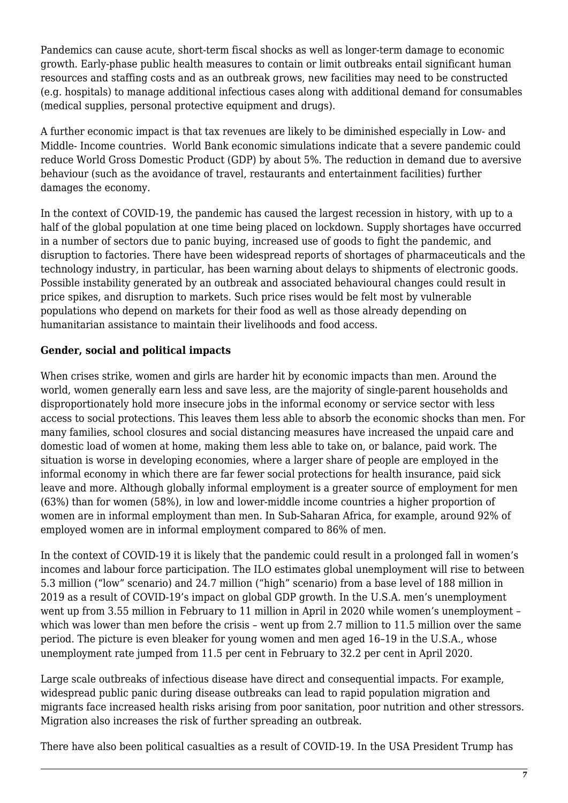Pandemics can cause acute, short-term fiscal shocks as well as longer-term damage to economic growth. Early-phase public health measures to contain or limit outbreaks entail significant human resources and staffing costs and as an outbreak grows, new facilities may need to be constructed (e.g. hospitals) to manage additional infectious cases along with additional demand for consumables (medical supplies, personal protective equipment and drugs).

A further economic impact is that tax revenues are likely to be diminished especially in Low- and Middle- Income countries. World Bank economic simulations indicate that a severe pandemic could reduce World Gross Domestic Product (GDP) by about 5%. The reduction in demand due to aversive behaviour (such as the avoidance of travel, restaurants and entertainment facilities) further damages the economy.

In the context of COVID-19, the pandemic has caused the largest recession in history, with up to a half of the global population at one time being placed on lockdown. Supply shortages have occurred in a number of sectors due to panic buying, increased use of goods to fight the pandemic, and disruption to factories. There have been widespread reports of shortages of pharmaceuticals and the technology industry, in particular, has been warning about delays to shipments of electronic goods. Possible instability generated by an outbreak and associated behavioural changes could result in price spikes, and disruption to markets. Such price rises would be felt most by vulnerable populations who depend on markets for their food as well as those already depending on humanitarian assistance to maintain their livelihoods and food access.

#### **Gender, social and political impacts**

When crises strike, women and girls are harder hit by economic impacts than men. Around the world, women generally earn less and save less, are the majority of single-parent households and disproportionately hold more insecure jobs in the informal economy or service sector with less access to social protections. This leaves them less able to absorb the economic shocks than men. For many families, school closures and social distancing measures have increased the unpaid care and domestic load of women at home, making them less able to take on, or balance, paid work. The situation is worse in developing economies, where a larger share of people are employed in the informal economy in which there are far fewer social protections for health insurance, paid sick leave and more. Although globally informal employment is a greater source of employment for men (63%) than for women (58%), in low and lower-middle income countries a higher proportion of women are in informal employment than men. In Sub-Saharan Africa, for example, around 92% of employed women are in informal employment compared to 86% of men.

In the context of COVID-19 it is likely that the pandemic could result in a prolonged fall in women's incomes and labour force participation. The ILO estimates global unemployment will rise to between 5.3 million ("low" scenario) and 24.7 million ("high" scenario) from a base level of 188 million in 2019 as a result of COVID-19's impact on global GDP growth. In the U.S.A. men's unemployment went up from 3.55 million in February to 11 million in April in 2020 while women's unemployment – which was lower than men before the crisis - went up from 2.7 million to 11.5 million over the same period. The picture is even bleaker for young women and men aged 16–19 in the U.S.A., whose unemployment rate jumped from 11.5 per cent in February to 32.2 per cent in April 2020.

Large scale outbreaks of infectious disease have direct and consequential impacts. For example, widespread public panic during disease outbreaks can lead to rapid population migration and migrants face increased health risks arising from poor sanitation, poor nutrition and other stressors. Migration also increases the risk of further spreading an outbreak.

There have also been political casualties as a result of COVID-19. In the USA President Trump has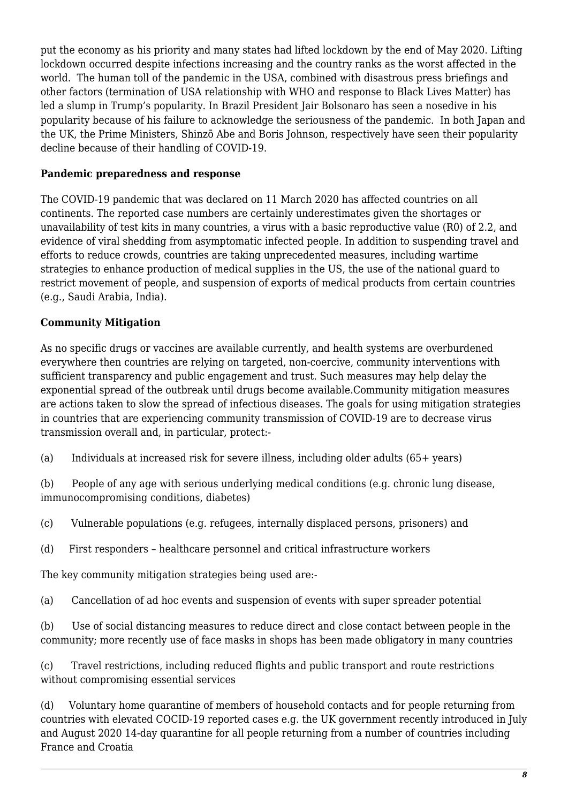put the economy as his priority and many states had lifted lockdown by the end of May 2020. Lifting lockdown occurred despite infections increasing and the country ranks as the worst affected in the world. The human toll of the pandemic in the USA, combined with disastrous press briefings and other factors (termination of USA relationship with WHO and response to Black Lives Matter) has led a slump in Trump's popularity. In Brazil President Jair Bolsonaro has seen a nosedive in his popularity because of his failure to acknowledge the seriousness of the pandemic. In both Japan and the UK, the Prime Ministers, Shinzō Abe and Boris Johnson, respectively have seen their popularity decline because of their handling of COVID-19.

#### **Pandemic preparedness and response**

The COVID-19 pandemic that was declared on 11 March 2020 has affected countries on all continents. The reported case numbers are certainly underestimates given the shortages or unavailability of test kits in many countries, a virus with a basic reproductive value (R0) of 2.2, and evidence of viral shedding from asymptomatic infected people. In addition to suspending travel and efforts to reduce crowds, countries are taking unprecedented measures, including wartime strategies to enhance production of medical supplies in the US, the use of the national guard to restrict movement of people, and suspension of exports of medical products from certain countries (e.g., Saudi Arabia, India).

#### **Community Mitigation**

As no specific drugs or vaccines are available currently, and health systems are overburdened everywhere then countries are relying on targeted, non-coercive, community interventions with sufficient transparency and public engagement and trust. Such measures may help delay the exponential spread of the outbreak until drugs become available.Community mitigation measures are actions taken to slow the spread of infectious diseases. The goals for using mitigation strategies in countries that are experiencing community transmission of COVID-19 are to decrease virus transmission overall and, in particular, protect:-

(a) Individuals at increased risk for severe illness, including older adults (65+ years)

(b) People of any age with serious underlying medical conditions (e.g. chronic lung disease, immunocompromising conditions, diabetes)

- (c) Vulnerable populations (e.g. refugees, internally displaced persons, prisoners) and
- (d) First responders healthcare personnel and critical infrastructure workers

The key community mitigation strategies being used are:-

(a) Cancellation of ad hoc events and suspension of events with super spreader potential

(b) Use of social distancing measures to reduce direct and close contact between people in the community; more recently use of face masks in shops has been made obligatory in many countries

(c) Travel restrictions, including reduced flights and public transport and route restrictions without compromising essential services

(d) Voluntary home quarantine of members of household contacts and for people returning from countries with elevated COCID-19 reported cases e.g. the UK government recently introduced in July and August 2020 14-day quarantine for all people returning from a number of countries including France and Croatia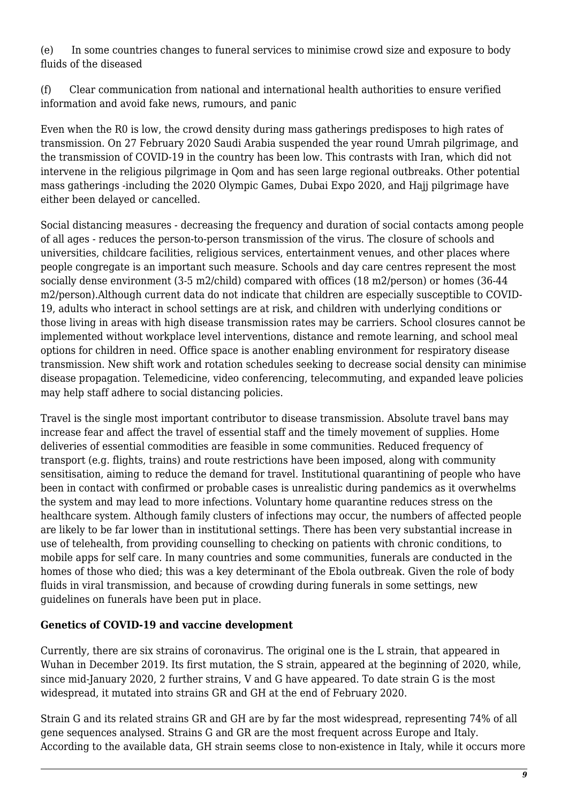(e) In some countries changes to funeral services to minimise crowd size and exposure to body fluids of the diseased

(f) Clear communication from national and international health authorities to ensure verified information and avoid fake news, rumours, and panic

Even when the R0 is low, the crowd density during mass gatherings predisposes to high rates of transmission. On 27 February 2020 Saudi Arabia suspended the year round Umrah pilgrimage, and the transmission of COVID-19 in the country has been low. This contrasts with Iran, which did not intervene in the religious pilgrimage in Qom and has seen large regional outbreaks. Other potential mass gatherings -including the 2020 Olympic Games, Dubai Expo 2020, and Hajj pilgrimage have either been delayed or cancelled.

Social distancing measures - decreasing the frequency and duration of social contacts among people of all ages - reduces the person-to-person transmission of the virus. The closure of schools and universities, childcare facilities, religious services, entertainment venues, and other places where people congregate is an important such measure. Schools and day care centres represent the most socially dense environment (3-5 m2/child) compared with offices (18 m2/person) or homes (36-44 m2/person).Although current data do not indicate that children are especially susceptible to COVID-19, adults who interact in school settings are at risk, and children with underlying conditions or those living in areas with high disease transmission rates may be carriers. School closures cannot be implemented without workplace level interventions, distance and remote learning, and school meal options for children in need. Office space is another enabling environment for respiratory disease transmission. New shift work and rotation schedules seeking to decrease social density can minimise disease propagation. Telemedicine, video conferencing, telecommuting, and expanded leave policies may help staff adhere to social distancing policies.

Travel is the single most important contributor to disease transmission. Absolute travel bans may increase fear and affect the travel of essential staff and the timely movement of supplies. Home deliveries of essential commodities are feasible in some communities. Reduced frequency of transport (e.g. flights, trains) and route restrictions have been imposed, along with community sensitisation, aiming to reduce the demand for travel. Institutional quarantining of people who have been in contact with confirmed or probable cases is unrealistic during pandemics as it overwhelms the system and may lead to more infections. Voluntary home quarantine reduces stress on the healthcare system. Although family clusters of infections may occur, the numbers of affected people are likely to be far lower than in institutional settings. There has been very substantial increase in use of telehealth, from providing counselling to checking on patients with chronic conditions, to mobile apps for self care. In many countries and some communities, funerals are conducted in the homes of those who died; this was a key determinant of the Ebola outbreak. Given the role of body fluids in viral transmission, and because of crowding during funerals in some settings, new guidelines on funerals have been put in place.

#### **Genetics of COVID-19 and vaccine development**

Currently, there are six strains of coronavirus. The original one is the L strain, that appeared in Wuhan in December 2019. Its first mutation, the S strain, appeared at the beginning of 2020, while, since mid-January 2020, 2 further strains, V and G have appeared. To date strain G is the most widespread, it mutated into strains GR and GH at the end of February 2020.

Strain G and its related strains GR and GH are by far the most widespread, representing 74% of all gene sequences analysed. Strains G and GR are the most frequent across Europe and Italy. According to the available data, GH strain seems close to non-existence in Italy, while it occurs more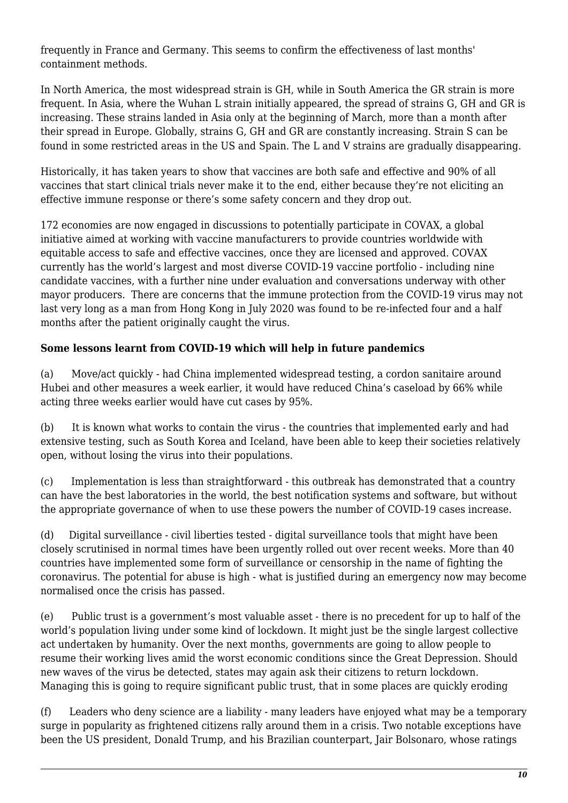frequently in France and Germany. This seems to confirm the effectiveness of last months' containment methods.

In North America, the most widespread strain is GH, while in South America the GR strain is more frequent. In Asia, where the Wuhan L strain initially appeared, the spread of strains G, GH and GR is increasing. These strains landed in Asia only at the beginning of March, more than a month after their spread in Europe. Globally, strains G, GH and GR are constantly increasing. Strain S can be found in some restricted areas in the US and Spain. The L and V strains are gradually disappearing.

Historically, it has taken years to show that vaccines are both safe and effective and 90% of all vaccines that start clinical trials never make it to the end, either because they're not eliciting an effective immune response or there's some safety concern and they drop out.

172 economies are now engaged in discussions to potentially participate in COVAX, a global initiative aimed at working with vaccine manufacturers to provide countries worldwide with equitable access to safe and effective vaccines, once they are licensed and approved. COVAX currently has the world's largest and most diverse COVID-19 vaccine portfolio - including nine candidate vaccines, with a further nine under evaluation and conversations underway with other mayor producers. There are concerns that the immune protection from the COVID-19 virus may not last very long as a man from Hong Kong in July 2020 was found to be re-infected four and a half months after the patient originally caught the virus.

#### **Some lessons learnt from COVID-19 which will help in future pandemics**

(a) Move/act quickly - had China implemented widespread testing, a cordon sanitaire around Hubei and other measures a week earlier, it would have reduced China's caseload by 66% while acting three weeks earlier would have cut cases by 95%.

(b) It is known what works to contain the virus - the countries that implemented early and had extensive testing, such as South Korea and Iceland, have been able to keep their societies relatively open, without losing the virus into their populations.

(c) Implementation is less than straightforward - this outbreak has demonstrated that a country can have the best laboratories in the world, the best notification systems and software, but without the appropriate governance of when to use these powers the number of COVID-19 cases increase.

(d) Digital surveillance - civil liberties tested - digital surveillance tools that might have been closely scrutinised in normal times have been urgently rolled out over recent weeks. More than 40 countries have implemented some form of surveillance or censorship in the name of fighting the coronavirus. The potential for abuse is high - what is justified during an emergency now may become normalised once the crisis has passed.

(e) Public trust is a government's most valuable asset - there is no precedent for up to half of the world's population living under some kind of lockdown. It might just be the single largest collective act undertaken by humanity. Over the next months, governments are going to allow people to resume their working lives amid the worst economic conditions since the Great Depression. Should new waves of the virus be detected, states may again ask their citizens to return lockdown. Managing this is going to require significant public trust, that in some places are quickly eroding

(f) Leaders who deny science are a liability - many leaders have enjoyed what may be a temporary surge in popularity as frightened citizens rally around them in a crisis. Two notable exceptions have been the US president, Donald Trump, and his Brazilian counterpart, Jair Bolsonaro, whose ratings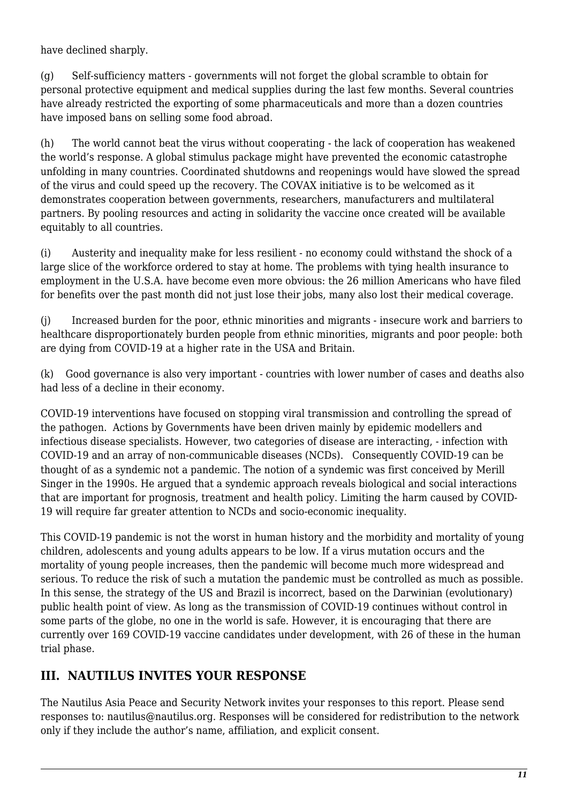have declined sharply.

(g) Self-sufficiency matters - governments will not forget the global scramble to obtain for personal protective equipment and medical supplies during the last few months. Several countries have already restricted the exporting of some pharmaceuticals and more than a dozen countries have imposed bans on selling some food abroad.

(h) The world cannot beat the virus without cooperating - the lack of cooperation has weakened the world's response. A global stimulus package might have prevented the economic catastrophe unfolding in many countries. Coordinated shutdowns and reopenings would have slowed the spread of the virus and could speed up the recovery. The COVAX initiative is to be welcomed as it demonstrates cooperation between governments, researchers, manufacturers and multilateral partners. By pooling resources and acting in solidarity the vaccine once created will be available equitably to all countries.

(i) Austerity and inequality make for less resilient - no economy could withstand the shock of a large slice of the workforce ordered to stay at home. The problems with tying health insurance to employment in the U.S.A. have become even more obvious: the 26 million Americans who have filed for benefits over the past month did not just lose their jobs, many also lost their medical coverage.

(j) Increased burden for the poor, ethnic minorities and migrants - insecure work and barriers to healthcare disproportionately burden people from ethnic minorities, migrants and poor people: both are dying from COVID-19 at a higher rate in the USA and Britain.

(k) Good governance is also very important - countries with lower number of cases and deaths also had less of a decline in their economy.

COVID-19 interventions have focused on stopping viral transmission and controlling the spread of the pathogen. Actions by Governments have been driven mainly by epidemic modellers and infectious disease specialists. However, two categories of disease are interacting, - infection with COVID-19 and an array of non-communicable diseases (NCDs). Consequently COVID-19 can be thought of as a syndemic not a pandemic. The notion of a syndemic was first conceived by Merill Singer in the 1990s. He argued that a syndemic approach reveals biological and social interactions that are important for prognosis, treatment and health policy. Limiting the harm caused by COVID-19 will require far greater attention to NCDs and socio-economic inequality.

This COVID-19 pandemic is not the worst in human history and the morbidity and mortality of young children, adolescents and young adults appears to be low. If a virus mutation occurs and the mortality of young people increases, then the pandemic will become much more widespread and serious. To reduce the risk of such a mutation the pandemic must be controlled as much as possible. In this sense, the strategy of the US and Brazil is incorrect, based on the Darwinian (evolutionary) public health point of view. As long as the transmission of COVID-19 continues without control in some parts of the globe, no one in the world is safe. However, it is encouraging that there are currently over 169 COVID-19 vaccine candidates under development, with 26 of these in the human trial phase.

## **III. NAUTILUS INVITES YOUR RESPONSE**

The Nautilus Asia Peace and Security Network invites your responses to this report. Please send responses to: nautilus@nautilus.org. Responses will be considered for redistribution to the network only if they include the author's name, affiliation, and explicit consent.